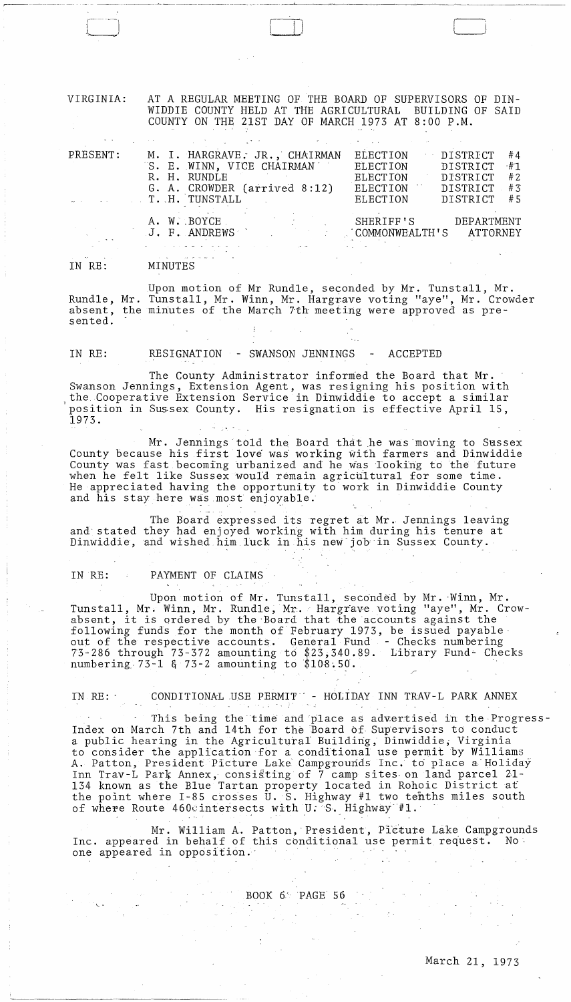VIRGINIA: AT A REGULAR MEETING OF THE BOARD OF SUPERVISORS OF DIN-WIDDIE COUNTY HELD AT THE AGRICULTURAL BUILDING OF SAID COUNTY ON THE 21ST DAY OF MARCH 1973 AT 8:00 P.M.

 $\cup$ "'"

| PRESENT: | M. I. HARGRAVE. JR., CHAIRMAN<br>S. E. WINN, VICE CHAIRMANT<br>R. H. RUNDLE<br>G. A. CROWDER (arrived 8:12)<br>T. H. TUNSTALL | <b>ELECTION</b><br>DISTRICT<br>#4<br>$+1$<br>ELECTION<br>DISTRICT<br>#2<br><b>ELECTION</b><br>DISTRICT<br>DISTRICT<br>#3<br><b>ELECTION</b><br>DISTRICT<br>#5<br><b>ELECTION</b> |
|----------|-------------------------------------------------------------------------------------------------------------------------------|----------------------------------------------------------------------------------------------------------------------------------------------------------------------------------|
|          | A. W. BOYCE.<br>J. F. ANDREWS                                                                                                 | SHERIFF'S<br>DEPARTMENT<br>COMMONWEALTH'S ATTORNEY                                                                                                                               |
|          |                                                                                                                               |                                                                                                                                                                                  |

IN RE: MINUTES

r------~------ -- .- - -~. ,-~ .. -.....<....-~~-~,~-------- ...

Upon motion of Mr Rundle, seconded by Mr. Tunstall, Mr. Rundle, Mr. Tunstall, Mr. Winn, Mr. Hargrave voting "aye", Mr. Crowder absent, the minutes of the March 7th meeting were approved as presented.

IN RE: RESIGNATION - SWANSON JENNINGS - ACCEPTED

The County Administrator informed the Board that Mr. Swanson Jennings, Extension Agent, was resigning his position with the Cooperative Extension Service in Dinwiddie to accept a similar position in Sussex County. His resignation is effective April 15, 1973.

Mr. Jennings told the Board that he was moving to Sussex County because his first love was' working with farmers and Dinwiddie County was fast becoming urbanized and he was Tooking to the future when he felt like Sussex would remain agricultural for some time. He appreciated having the opportunity to work in Dinwiddie County and his stay here was most enjoyable.

The Board expressed its regret at Mr. Jennings leaving and stated they had enjoyed working with him during his tenure at Dinwiddie, and wished him luck in his new job in Sussex County.

IN RE: PAYMENT OF CLAIMS

 $\mathcal{O}(\mathcal{O}(\mathbb{R}^d))$ 

Upon motion of Mr. Tunstall, seconded by Mr. Winn, Mr. Tunstall, Mr. Winn, Mr. Rundle, Mr. Hargrave voting "aye", Mr. Crowabsent, it is ordered by the Board that the accounts against the following funds for the month of February 1973, be issued payable out of the respective accounts. General Fund - Checks numbering 73-286 through 73-372 amounting to \$23,340.89. Library Fund'- Checks numbering  $73-1$  &  $73-2$  amounting to  $$108.50$ .

IN RE: CONDITIONAL USE PERMIT - HOLIDAY INN TRAV-L PARK ANNEX

This being the time and place as advertised in the Progress-Index on March 7th and 14th for the Board of Supervisors to conduct a public hearing in the Agricultural Building, Dinwiddie; Virginia to consider the application for a conditional use permit by Williams A. Patton, President Picture Lake Campgrounds Inc. to place a Holiday Inn Trav-L Park Annex, consisting of 7 camp sites on land parcel 21-134 known as the Blue Tartan property located in Rohoic District af the point where  $I-85$  crosses U.S. Highway #1 two tenths miles south of where Route 460cintersects with U. S. Highway  $#1$ .

Mr. William A. Patton, President, Picture Lake Campgrounds Inc. appeared in behalf of this conditional use permit request. No<br>one appeared in opposition. one appeared in opposition.  $\sqrt{N}$  and  $\sqrt{N}$ 

BOOK 6 PAGE 56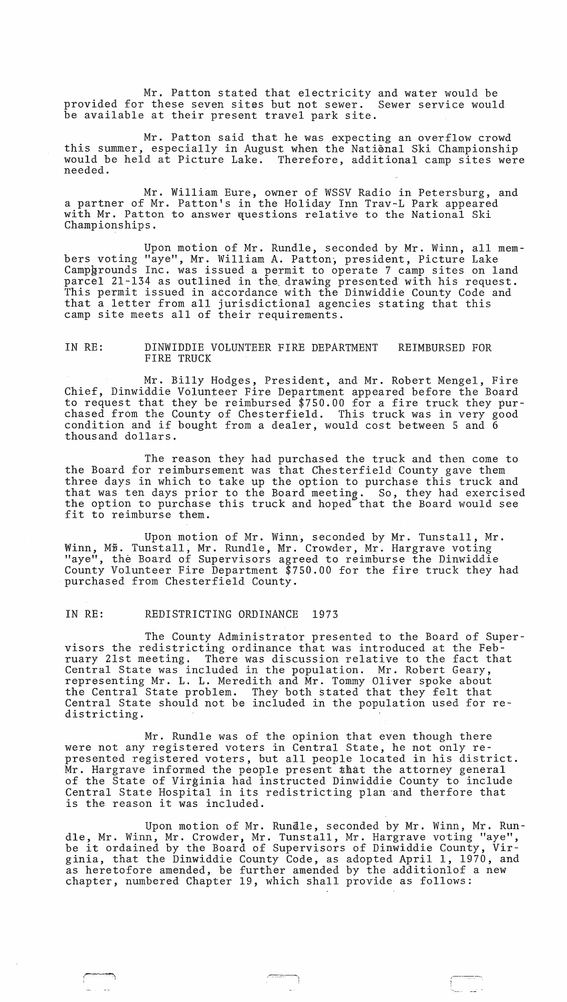Mr. Patton stated that electricity and water would be provided for these seven sites but not sewer. Sewer service would be available at their present travel park site.

Mr. Patton said that he was expecting an overflow crowd this summer, especially in August when the National Ski Championship would be held at Picture Lake. Therefore, additional camp sites were needed.

Mr. William Eure, owner of WSSV Radio in Petersburg, and a partner of Mr. Patton's in the Holiday Inn Trav-L Park appeared with Mr. Patton to answer questions relative to the National Ski Championships.

Upon motion of Mr. Rundle, seconded by Mr. Winn, all members voting "aye", Mr. William A. Patton, president, Picture Lake Campgrounds Inc. was issued a permit to operate 7 camp sites on land parcel 21-134 as outlined in the drawing presented with his request. This permit issued in accordance with the Dinwiddie County Code and that a letter from all jurisdictional agencies stating that this camp site meets all of their requirements.

## IN RE: DINWIDDIE VOLUNTEER FIRE DEPARTMENT FIRE TRUCK REIMBURSED FOR

Mr. Billy Hodges, President, and Mr. Robert Mengel, Fire Chief, Dinwiddie V6lunteer Fire Department appeared before the Board to request that they be reimbursed \$750.00 for a fire truck they purchased from the County of Chesterfield. This truck was in very good condition and if bought from a dealer, would cost between 5 and 6 thousand dollars.

The reason they had purchased the truck and then come to the Board for reimbursement was that Chesterfield County gave them three days in which to take up the option to purchase this truck and that was ten days prior to the Board meeting. So, they had exercised the option to purchase this truck and hoped that the Board would see fit to reimburse them.

Upon motion of Mr. Winn, seconded by Mr. Tunstall, Mr. Winn, M5. Tunstall, Mr. Rundle, Mr. Crowder, Mr. Hargrave voting "aye", the Board of Supervisors agreed to reimburse the Dinwiddie County Volunteer Fire Department \$750.00 for the fire truck they had purchased from Chesterfield County.

# IN RE: REDISTRICTING ORDINANCE 1973

 $\overline{\phantom{a}}$ 

The County Administrator presented to the Board of Supervisors the redistricting ordinance that was introduced at the February 21st meeting. There was discussion relative to the fact that Central State was included in the population. Mr. Robert Geary, representing Mr. L. L. Meredith and Mr. Tommy Oliver spoke about the Central State problem. They both stated that they felt that Central State should not be included in the population used for redistricting.

Mr. Rundle was of the opinion that even though there were not any registered voters in Central State, he not only represented registered voters, but all people located in his district.  $Mr.$  Hargrave informed the people present  $$$ that the attorney general of the State of Virginia had instructed Dinwiddie County to include Central State Hospital in its redistricting plan and therfore that is the reason it was included.

Upon motion of Mr. Rundle, seconded by Mr. Winn, Mr. Rundle, Mr. Winn, Mr. Crowder, Mr. Tunstall, Mr. Hargrave voting "aye", die, Mr. Winn, Mr. Crowder, Mr. Iunstall, Mr. Hargrave voting aye, ginia, that the Dinwiddie County Code, as adopted April 1, 1970, and as heretofore amended, be further amended by the additionlof a new chapter, numbered Chapter 19, which shall provide as follows: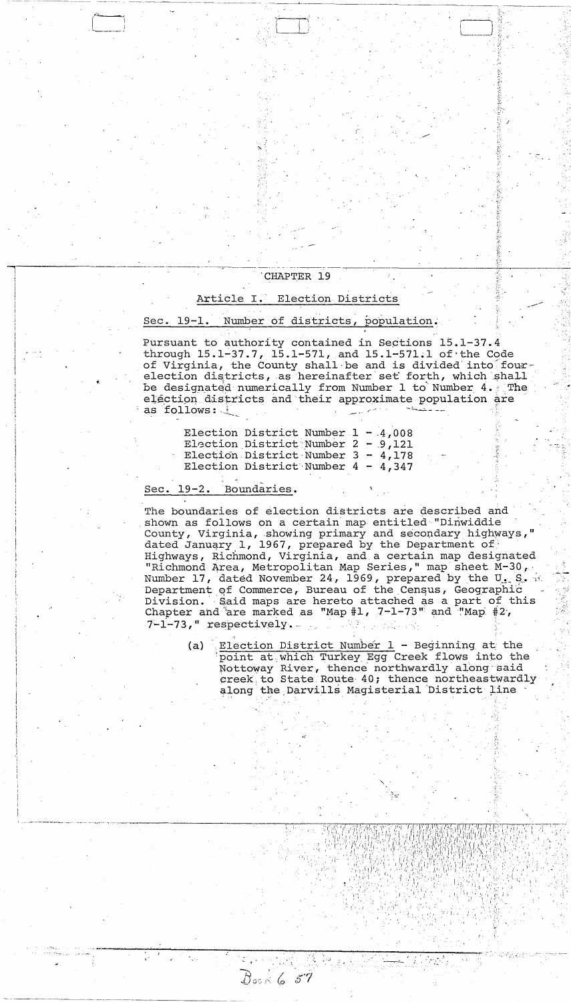# CHAPTER 19

# Article I. Election Districts

### Sec. 19-1. Number of districts, population.

Pursuant to authority contained in Sections 15.1-37.4 through  $15.1-37.7$ ,  $15.1-571$ , and  $15.1-571.1$  of the Code of Virginia, the County shall be and is divided into fourelection districts, as hereinafter set forth, which shall be designated numerically from Number 1 to Number 4. The election districts and their approximate population are as follows:

| Election District Number $1 - 4,008$ |  |  |
|--------------------------------------|--|--|
| Election District Number $2 - 9,121$ |  |  |
| Election District Number $3 - 4,178$ |  |  |
| Election District Number $4 - 4,347$ |  |  |

Dock 6 57

#### Boundaries. Sec.  $19-2$ .

The boundaries of election districts are described and shown as follows on a certain map entitled "Dinwiddie County, Virginia, showing primary and secondary highways," dated January 1, 1967, prepared by the Department of Highways, Richmond, Virginia, and a certain map designated "Richmond Area, Metropolitan Map Series," map sheet M-30, Number 17, dated November 24, 1969, prepared by the U. S. W. Department of Commerce, Bureau of the Census, Geographic Division. Said maps are hereto attached as a part of this Chapter and  $2r$  marked as "Map #1, 7-1-73" and "Map #2,  $7-1-73$ , "respectively.

Election District Number 1 - Beginning at the point at which Turkey Egg Creek flows into the  $(a)$ Nottoway River, thence northwardly along said creek to State Route 40; thence northeastwardly along the Darvills Magisterial District line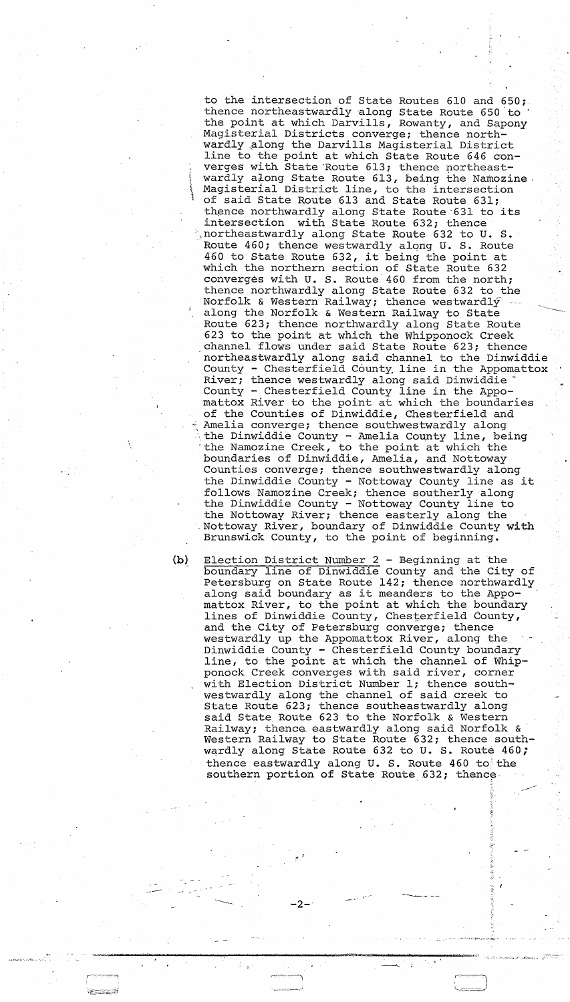to the intersection of State Routes 610 and 650; thence northeastwardly along State Route 650 to the point at which Darvills, Rowanty, and Sapony Magisterial Districts converge; thence northwardly along the Darvills Magisterial District line to the point at which State Route 646 con verges with State Route 613; thence northeastwardly along State Route 613, being the Namozine. Magisterial District line, to the intersection of said State Route 613 and State Route 631; of baid beace houte ois and beace houte 031, intersection with State Route 632; thence ',northeastwardly along State Route 632 to U. S. Route 460; thence westwardly along U. S. Route 460 to State Route 632, it being the point at which the northern section of State Route 632 converges with U. S. Route'460 from the north; thence northwardly along State Route 632 to the Norfolk & Western Railway; thence westwardly along the Norfolk & Western Railway to State Route 623; thence northwardly along State Route -----...., 623 to the point at which the Whipponock Creek channel flows under said State Route 623; thence northeastwardly along said channel to the Dinwiddie County - Chesterfield County line in the Appomattox River; thence westwardly along said Dinwiddie County - Chesterfield County line in the Appomattox River to the point at which the boundaries of the Counties of Dinwiddie, Chesterfield and Amelia converge; thence southwestwardly along the Dinwiddie County - Amelia County line, being 'the Namozine Creek, to the point at which the boundaries of Dinwiddie, Amelia, and Nottoway Counties converge; thence southwestwardly along the Dinwiddie County - Nottoway County line as it follows Namozine Creek; thence southerly along the Dinwiddie County - Nottoway County line to the Nottoway River; thence easterly along the Nottoway River, boundary of Dinwiddie County with Brunswick County, to the point of beginning.

Election District Number 2 - Beginning at the boundary line of Dinwiddie County and the City of Petersburg on State Route 142; thence northwardly along said boundary as it meanders to the Appomattox River, to the point at which the boundary lines of Dinwiddie County, Chesterfield County, and the City of Petersburg converge; thence westwardly up the Appomattox River, along the. Dinwiddie County - Chesterfield County boundary line, to the point at which the channel of Whipponock Creek converges with said river, corner with Election District Number 1; thence southwestwardly along the channel of said creek to State Route 623; thence southeastwardly along said State Route 623 to the Norfolk & Western Railway; thenca eastwardly along said Norfolk & Western Railway to State Route 632; thence southwardly along State Route 632 to U. S. Route 460; thence eastwardly along U. S. Route 460 to the southern portion of State Route 632; thence. .----

• .r

**------** ------, -2-'

~'''''''''''I'-'''''''' = <sup>n</sup>\*"P\$;( ~lJo&~~ts ,/. ~".,O;:" ""::'~":f, > "

---'

,--'C •.. "--1 ;'1 --.. -----.-~-.' l....:::.::--=.-~ .....

/

:,:~  $\tilde{\mathbf{a}}$ 

(b)

---"

r~--:~ ~?~~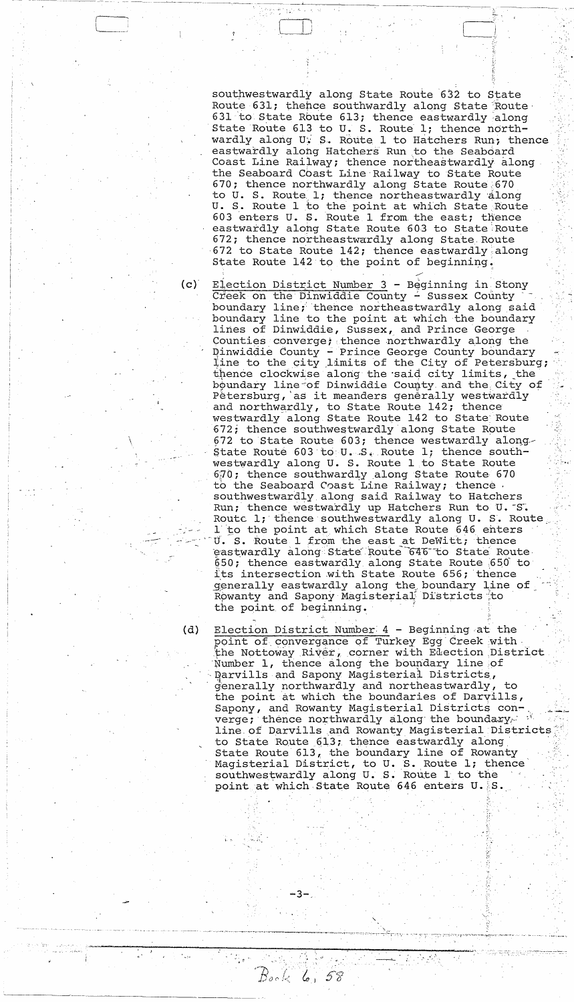southwestwardly along State Route 632 to State Route 631; thence southwardly along State Route 631 to State Route 613; thence eastwardly along State Route 613 to U. S. Route 1; thence northwardly along U. S. Route 1 to Hatchers Run; thence eastwardly along Hatchers Run to the Seaboard Coast Line Railway; thence northeastwardly along<br>the Seaboard Coast Line Railway to State Route 670; thence northwardly along State Route 670 to U. S. Route 1; thence northeastwardly along U. S. Route 1 to the point at which State Route 603 enters U. S. Route 1 from the east; thence eastwardly along State Route 603 to State Route 672; thence northeastwardly along State Route 672 to State Route 142; thence eastwardly along State Route 142 to the point of beginning.

Election District Number 3 - Beginning in Stony Creek on the Dinwiddie County - Sussex County boundary line; thence northeastwardly along said<br>boundary line to the point at which the boundary<br>lines of Dinwiddie, Sussex, and Prince George Counties converge; thence northwardly along the Dinwiddie County - Prince George County boundary<br>line to the city limits of the City of Petersburg; thence clockwise along the said city limits, the boundary line of Dinwiddie County and the City of Pétersburg, as it meanders generally westwardly<br>and northwardly, to State Route 142; thence<br>westwardly along State Route 142 to State Route 672; thence southwestwardly along State Route 672 to State Route 603; thence westwardly along-State Route 603 to  $U-S$ . Route 1; thence southwestwardly along U. S. Route 1 to State Route 670; thence southwardly along State Route 670 to the Seaboard Coast Line Railway; thence southwestwardly along said Railway to Hatchers Run; thence westwardly up Hatchers Run to U. S. Routc 1; thence southwestwardly along U. S. Route 1 to the point at which State Route 646 enters U. S. Route 1 from the east at DeWitt; thence eastwardly along State Route 646 to State Route 650; thence eastwardly along State Route 650 to its intersection with State Route 656; thence generally eastwardly along the boundary line of<br>Rowanty and Sapony Magisterial Districts to the point of beginning.

Election District Number 4 - Beginning at the point of convergance of Turkey Egg Creek with the Nottoway River, corner with Election District Number 1, thence along the boundary line of Darvills and Sapony Magisterial Districts, generally northwardly and northeastwardly, to the point at which the boundaries of Darvills, Sapony, and Rowanty Magisterial Districts converge; thence northwardly along the boundary line of Darvills and Rowanty Magisterial Districts to State Route 613; thence eastwardly along State Route  $613<sub>k</sub>$  the boundary line of Rowanty Magisterial District, to U. S. Route 1; thence southwestwardly along U.S. Route 1 to the point at which State Route 646 enters U. S.

 $Bock$  6, 58

 $(c)$ 

(d)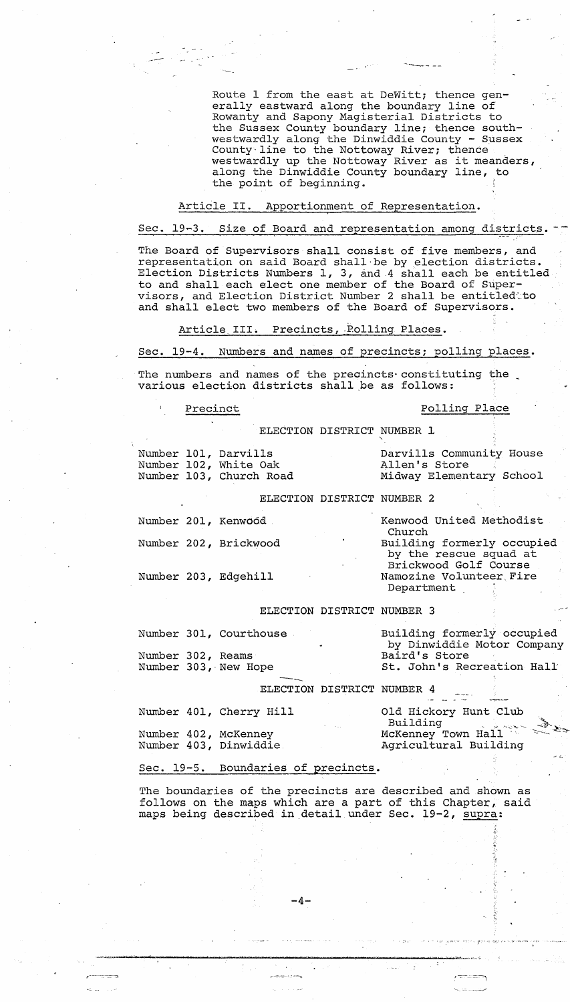Route 1 from the east at DeWitt; thence generally eastward along the boundary line of Rowanty and Sapony Magisterial Districts to the Sussex County boundary line; thence southwestwardly along the Dinwiddie County - Sussex County'line to the Nottoway River; thence County line to the Nottoway River; thence<br>westwardly up the Nottoway River as it meanders, along the Dinwiddie County boundary line, to the point of beginning.

## Article II. Apportionment of Representation.

-.--~ **-----**

# Sec. 19-3. Size of Board and representation among districts.

The Board of Supervisors shall consist of five members, and representation on said Board shall'be by election districts. Election Districts Numbers I, 3, and 4 shall each be entitled to and shall each elect one member of the Board of Supervisors, and Election District Number 2 shall be entitledto and shall elect two members of the Board of Supervisors.

Article III. Precincts, Polling Places.

Sec. 19-4. Numbers and names of precincts; polling places.

The numbers and names of the precincts constituting the various election districts shall be as follows:

# Precinct Polling Place

McKenney Town Hall Agricultural Building

~

.~-...... -::.---~-

 $\mathcal{L} = \mathcal{L}_\mathrm{a}$ 

"

.<br>Sing erecan increasing gra

مزخت رود.

ELECTION DISTRICT NUMBER 1

"-

|                   | Number 101, Darvills<br>Number 102, White Oak<br>Number 103, Church Road |                            | Darvills Community House<br>Allen's Store<br>Midway Elementary School         |
|-------------------|--------------------------------------------------------------------------|----------------------------|-------------------------------------------------------------------------------|
|                   |                                                                          | ELECTION DISTRICT NUMBER 2 |                                                                               |
|                   | Number 201, Kenwood .                                                    |                            | Kenwood United Methodist<br>Church                                            |
|                   | Number 202, Brickwood                                                    |                            | Building formerly occupied<br>by the rescue squad at<br>Brickwood Golf Course |
|                   | Number 203, Edgehill                                                     |                            | Namozine Volunteer Fire<br>Department                                         |
|                   |                                                                          | ELECTION DISTRICT NUMBER 3 |                                                                               |
|                   | Number 301, Courthouse                                                   |                            | Building formerly occupied<br>by Dinwiddie Motor Company                      |
| Number 302, Reams |                                                                          |                            | Baird's Store                                                                 |
|                   | Number 303, New Hope                                                     |                            | St. John's Recreation Hall                                                    |
|                   |                                                                          | ELECTION DISTRICT NUMBER 4 |                                                                               |
|                   | Number 401, Cherry Hill                                                  |                            | Old Hickory Hunt Club<br>Building Reserve                                     |

Sec. 19-5. Boundaries of precincts.

~ ~--"",,,,,,-,,,,-,,,,,,,,-,,,,,,,,---,,,,,--,,,,,-----,,,,,,,,---,,,,------,,,,----,,,,---~,",:,,,-~.,,,,~""""",>""",,,"" *'·w;","'''''''''',,·* .. -;"

r:-------:--=-:::, - ~---:, ,-::--- =~

Number 402, McKenney Number 403, Dinwiddie

The boundaries of the precincts are described and shown as follows on the maps which are a part of this Chapter, said maps being described in detail under Sec. 19-2, supra:

 $-4-$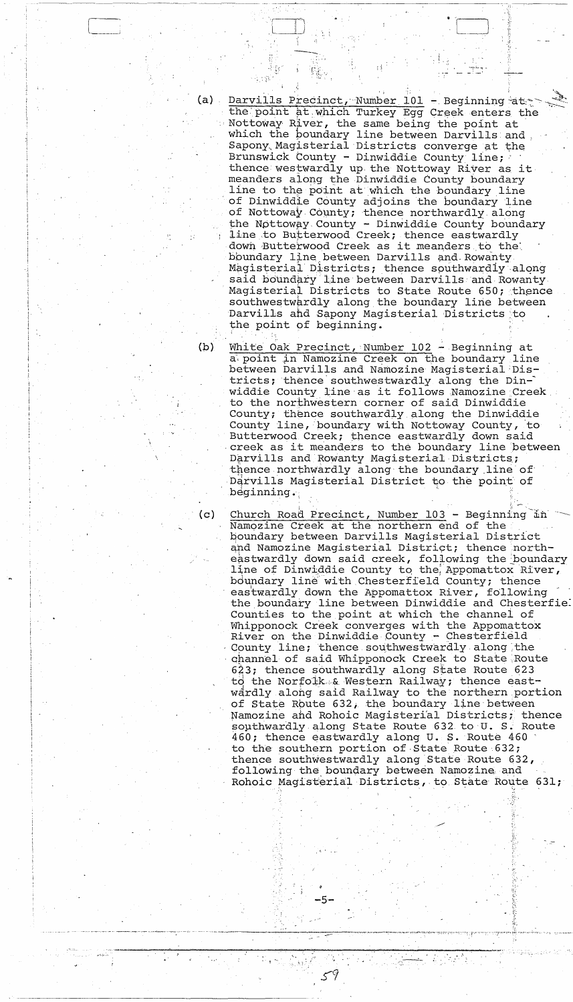- Darvills Precinct, Number 101 Beginning at the point at which Turkey Egg Creek enters the (a) -Nottoway River, the same being the point at which the boundary line between Darvills and<br>Sapony Magisterial Districts converge at the Brunswick County - Dinwiddie County line; thence westwardly up the Nottoway River as it meanders along the Dinwiddie County boundary line to the point at which the boundary line of Dinwiddie County adjoins the boundary line of Nottoway County; thence northwardly along the Nottoway County - Dinwiddie County boundary line to Butterwood Creek; thence eastwardly down Butterwood Creek as it meanders to the boundary line between Darvills and Rowanty Magisterial Districts; thence southwardly along said boundary line between Darvills and Rowanty. Magisterial Districts to State Route 650; thence southwestwardly along the boundary line between Darvills and Sapony Magisterial Districts to the point of beginning.
- White Oak Precinct, Number 102 Beginning at  $(b)$ a point in Namozine Creek on the boundary line between Darvills and Namozine Magisterial Districts; thence southwestwardly along the Dinwiddie County line as it follows Namozine Creek to the northwestern corner of said Dinwiddie County; thence southwardly along the Dinwiddie County line, boundary with Nottoway County, to Butterwood Creek; thence eastwardly down said creek as it meanders to the boundary line between Darvills and Rowanty Magisterial Districts; thence northwardly along the boundary line of Darvills Magisterial District to the point of beginning.

 $(c)$ Church Road Precinct, Number 103 - Beginning in Namozine Creek at the northern end of the boundary between Darvills Magisterial District and Namozine Magisterial District; thence northeastwardly down said creek, following the boundary line of Dinwiddie County to the Appomattox River, boundary line with Chesterfield County; thence eastwardly down the Appomattox River, following the boundary line between Dinwiddie and Chesterfie. Counties to the point at which the channel of Whipponock Creek converges with the Appomattox River on the Dinwiddie County - Chesterfield County line; thence southwestwardly along the channel of said Whipponock Creek to State Route 623; thence southwardly along State Route 623 to the Norfolk & Western Railway; thence eastwårdly along said Railway to the northern portion of State Route 632, the boundary line between Namozine and Rohoic Magisterial Districts; thence southwardly along State Route 632 to U. S. Route 460; thence eastwardly along U. S. Route 460 to the southern portion of State Route 632; thence southwestwardly along State Route 632, following the boundary between Namozine and Rohoic Magisterial Districts, to State Route 631;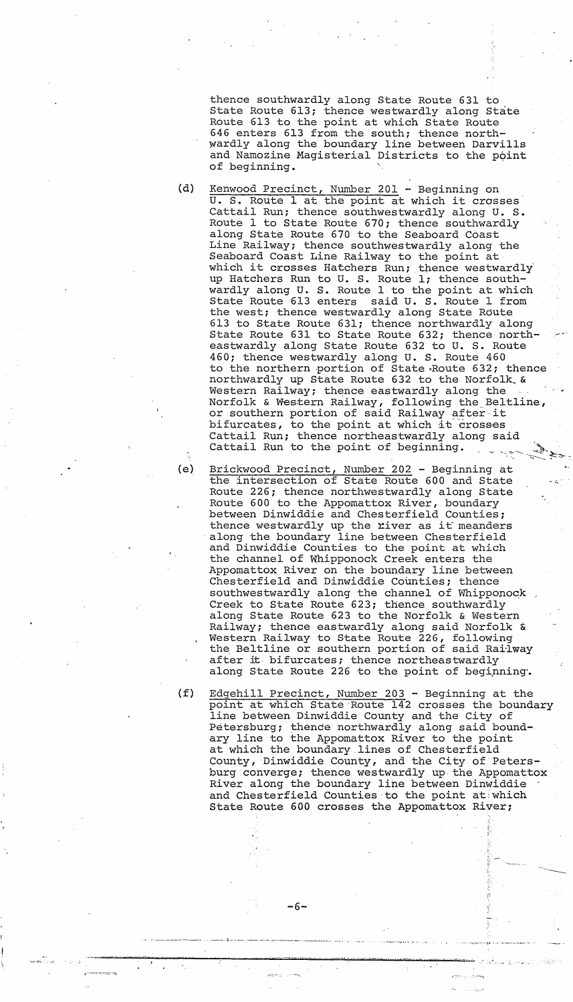thence southwardly along State Route 631 to State Route 613; thence westwardly along State Route 613 to the point at which State Route 646 enters 613 from the south; thence northwardly along the boundary line between Darvills and Namozine Magisterial Districts to the point of beginning.

- (d) Kenwood Precinct, Number 201 Beginning on U. S. Route 1 at the point at which it crosses Cattail Run; thence southwestwardly along U. S. Route 1 to State Route 670; thence southwardly along State Route 670 to the Seaboard Coast Line Railway; thence southwestwardly along the Seaboard Coast Line Railway to the point at seaboard Coast Line Railway to the point at<br>which it crosses Hatchers Run; thence westwardly up Hatchers Run to U. S. Route 1; thence southwardly along U. S. Route 1 to the point at which State Route 613 enters said U. S. Route 1 from the west; thence westwardly along State Route 613 to State Route 631; thence northwardly along State Route 631 to State Route 632; thence north-~ eastwardly along State Route 632 to U. S. Route 460; thence westwardly along U. S. Route 460 to the northern portion of State ,Route 632; thence northwardly up State Route 632 to the Norfolk\_& Western Railway; thence eastwardly along the Norfolk & We&tern Railway, following the Beltline, or southern portion of said Railway after it bifurcates, to the point at which it crosses Cattail Run; thence northeastwardly along said Cattail Run to the point of beginning.
	- Brickwood Precinct, Number 202 Beginning at the intersection of State Route 600 and State Route 226; thence northwestwardly along State Route 600 to the Appomattox River, boundary between Dinwiddie and Chesterfield Counties; thence westwardly up the river as it meanders along the boundary line between Chesterfield and Dinwiddie Counties to the point at which the channel of Whipponock Creek enters the Appomattox River on the boundary line between Chesterfield and Dinwiddie Counties; thence southwestwardly along the channel of Whipponock Creek to State Route 623; thence southwardly along State Route 623 to the Norfolk & Western Railway; thence eastwardly along said Norfolk  $\alpha$ Western Railway to State Route 226, following the Beltline or southern portion of said Railway after it bifurcates; thence northeastwardly along State Route 226 to the point of beginning.

 $\sim$   $<$   $^{\circ}$ 

;',

,.:;.

 $\mathcal{Q}_{\mathbf{a}}(\cdot)$  , and  $\mathcal{Q}_{\mathbf{a}}(\cdot)$ 

---- .

----

(f) Edgehill Precinct, Number 203 - Beginning at the point at which State Route 142 crosses the boundary line between Dinwiddie County and the City of Petersburg; thence northwardly along said boundary line to the Appomattox River to the point at which the boundary.lines of Chesterfield County, Dinwiddie County, and the City of Petersburg converge; thence westwardly up the Appomattox River along the boundary line between Dinwiddie and Chesterfield Counties to the point at which State Route 600 crosses the Appomattox River;

ה במשפח המונח המונח המונח המונח המונח המונח המונח המונח המונח המונח המונח המונח המונח המונח המונח המונח המונח ה<br>המונח המונח המונח המונח המונח המונח המונח המונח המונח המונח המונח המונח המונח המונח המונח המונח המונח המונח ה

-6-

.... *··x ....* ·,-..... ··ws· .... ::z....-· - . -'~n-z~ ': .\_ ..... ,\_ ... X"d' 1\_ tC'~' "i .q".,\_ ..... ..;.. <sup>~</sup>

'., ""'~'''--------'' ~--~-.-. ----.\_--\_ ... \_--,\_ .. -..

,

(e)

r:--::-=""=t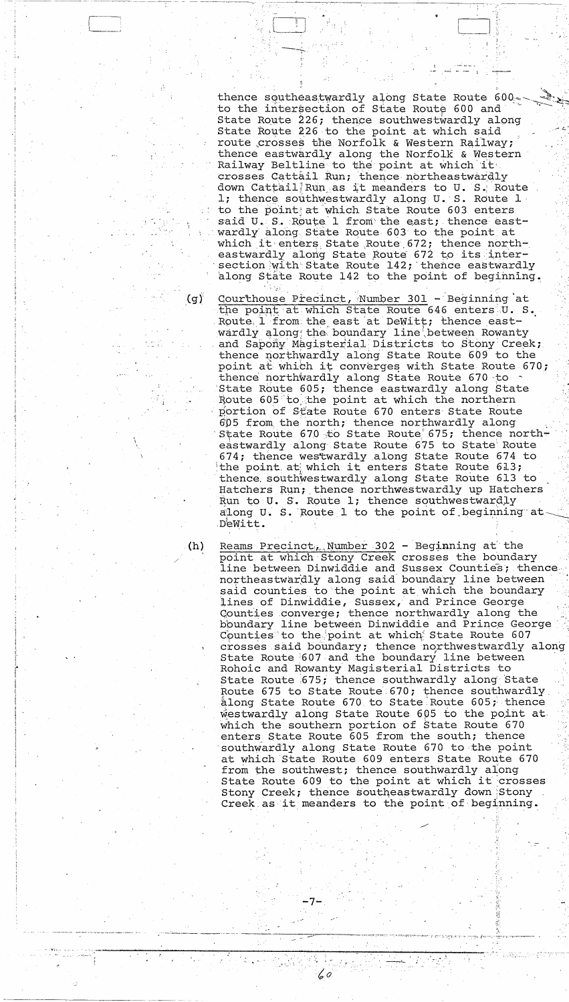thence southeastwardly along State Route 600. to the intersection of State Route 600 and State Route 226; thence southwestwardly along State Route 226 to the point at which said route crosses the Norfolk & Western Railway; thence eastwardly along the Norfolk & Western Railway Beltline to the point at which it crosses Cattail Run; thence northeastwardly down Cattail Run as it meanders to U. S. Route 1; thence southwestwardly along U. S. Route 1 to the point at which State Route 603 enters said U. S. Route 1 from the east; thence eastwardly along State Route 603 to the point at which it enters State Route 672; thence northeastwardly along State Route 672 to its intersection with State Route 142; thence eastwardly along State Route 142 to the point of beginning.

Courthouse Precinct, Number 301 - Beginning at the point at which State Route 646 enters U. S. Route 1 from the east at DeWitt; thence eastwardly along the boundary line between Rowanty and Sapony Magisterial Districts to Stony Creek; thence northwardly along State Route 609 to the point at which it converges with State Route 670; thence northwardly along State Route 670 to State Route 605; thence eastwardly along State Route 605 to the point at which the northern portion of State Route 670 enters State Route 605 from the north; thence northwardly along State Route 670 to State Route 675; thence northeastwardly along State Route 675 to State Route 674; thence westwardly along State Route 674 to the point at which it enters State Route 613; thence southwestwardly along State Route 613 to Hatchers Run; thence northwestwardly up Hatchers Run to U. S. Route 1; thence southwestwardly along U. S. Route 1 to the point of beginning at DeWitt.

Reams Precinct, Number  $302$  - Beginning at the point at which Stony Creek crosses the boundary line between Dinwiddie and Sussex Counties; thence northeastwardly along said boundary line between said counties to the point at which the boundary lines of Dinwiddie, Sussex, and Prince George Counties converge; thence northwardly along the boundary line between Dinwiddie and Prince George Counties to the point at which State Route 607 crosses said boundary; thence northwestwardly along State Route 607 and the boundary line between Rohoic and Rowanty Magisterial Districts to State Route 675; thence southwardly along State Route 675 to State Route 670; thence southwardly along State Route 670 to State Route 605; thence westwardly along State Route 605 to the point at which the southern portion of State Route 670 enters State Route 605 from the south; thence southwardly along State Route 670 to the point at which State Route 609 enters State Route 670 from the southwest; thence southwardly along State Route 609 to the point at which it crosses Stony Creek; thence southeastwardly down Stony Creek as it meanders to the point of beginning.

60

 $(h)$ 

(g).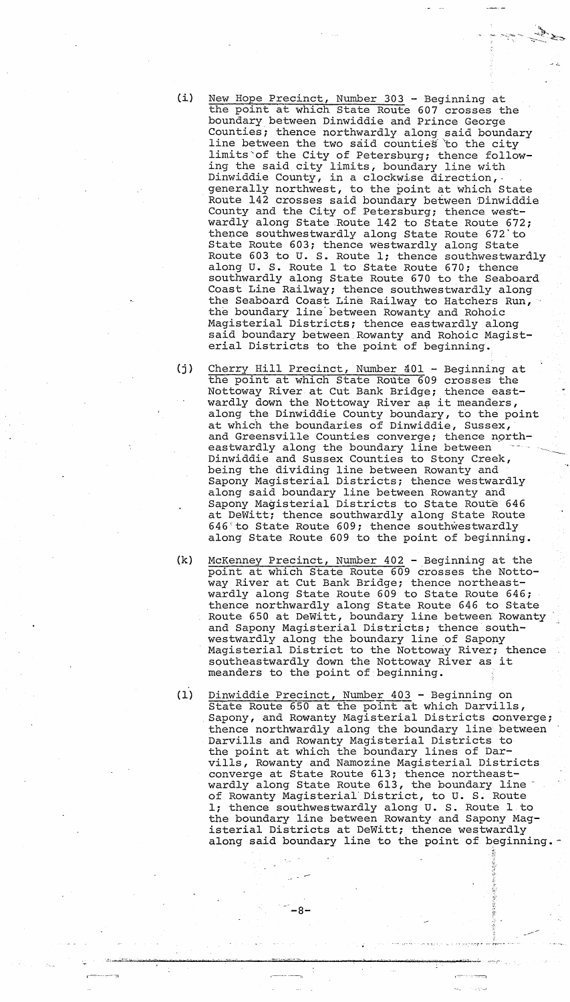(i) New Hope Precinct, Number 303 - Beginning at the point at which state Route 607 crosses the boundary between Dinwiddie and Prince George Counties; thence northwardly along said boundary line between the two said counties to the city limits of the City of Petersburg; thence following the said city limits, boundary line with Dinwiddie County, in a clockwise direction, generally northwest, to the point at which State Route 142 crosses said boundary between Dinwiddie County and the City of Petersburg; thence westwardly along State Route 142 to State Route 672; thence southwestwardly along State Route 672'to State Route 603; thence westwardly along State Route 603 to U. S. Route 1; thence southwestwardly along U. S. Route 1 to State Route 670; thence southwardly along State Route 670 to the Seaboard Coast Line Railway; thence southwestwardly along the Seaboard Coast Line Railway to Hatchers Run, the boundary line'between Rowanty and Rohoic Magisterial Districts; thence eastwardly along said boundary between Rowanty and Rohoic Magisterial Districts to the point of beginning.

 $\sim$  ---,  $\sim$  ---,  $\sim$ 

." .:.

(j) Cherry Hill Precinct, Number 401 - Beginning at the point at which State Route 609 crosses the Nottoway River at Cut Bank Bridge; thence eastwardly down the Nottoway River as it meanders, along the Dinwiddie County boundary, to the point at which the boundaries of Dinwiddie, Sussex, and Greensville Counties converge; thence ngrtheastwardly along the boundary line between Dinwiddie and Sussex Counties to Stony Creek, being the dividing line between Rowanty and Sapony Magisterial Districts; thence westwardly along said boundary line between Rowanty and Sapony Magisterial Districts to State Route 646 at DeWitt; thence southwardly along State Route 646'to State Route 609; thence southwestwardly along State Route 609 to the point of beginning.

- (k) McKenney Precinct, Number 402 Beginning at the point at which State Route 609 crosses the Nottoway River at Cut Bank Bridge; thence northeastwardly along State Route 609 to State Route 646; thence northwardly along State Route 646 to State Route 650 at DeWitt, boundary line between Rowanty and Sapony Magisterial Districts; thence southwestwardly along the boundary line of Sapony Magisterial District to the Nottoway River; thence southeastwardly down the Nottoway River as it meanders to the point of beginning.
- (1) Dinwiddie Precinct, Number 403 Beginning on Binwiddle Treeffiel, Namber 100 Deginning on Sapony, and Rowanty Magisterial Districts converge; thence northwardly along the boundary line between Darvills and Rowanty Magisterial Districts to the point at which the boundary lines of Darvills, Rowanty and Namozine Magisterial Districts converge at State Route 613; thence northeastwardly along State Route 613, the boundary line of Rowanty Magisterial'District, to U. S. Route *Ii* thence southwestwardly along U. S. Route 1 to the boundary line between Rowanty and Sapony Magisterial Districts at DeWitt; thence westwardly along said boundary line to the point of beginning.

--:-1 =

-8-

~!~.~ .. N.i!>~ w""z, 1-' .' ..... \- d' -. t! ' --..;,...

 $.$ , r./

 $\widetilde{\mathcal{Y}}$ 

""t..-

--~

r:-'--'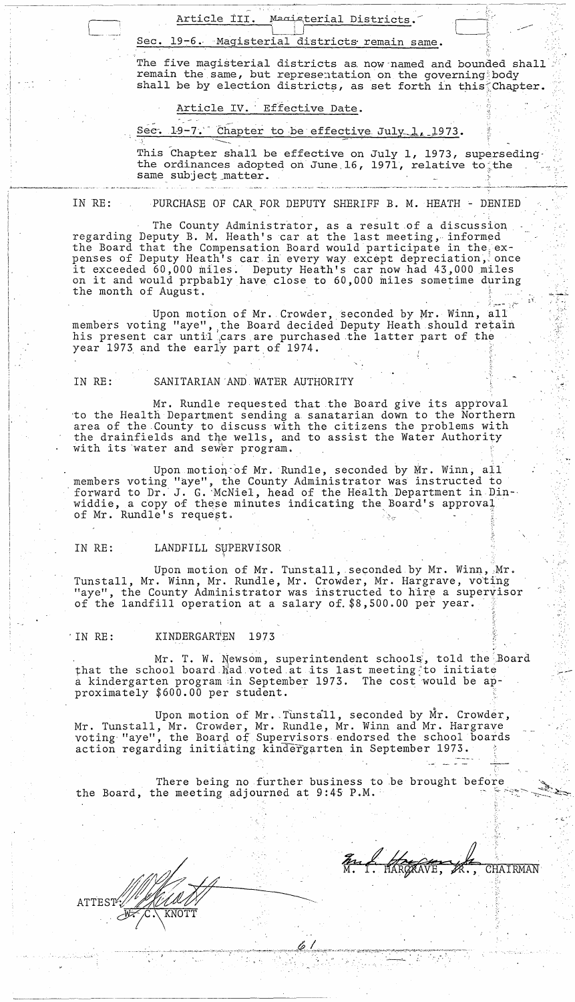Article III. Magisterial Districts.

# Sec. 19-6. Magisterial districts remain same.

The five magisterial districts as, now'named and bounded shall remain the same, but representation on the governing body shall be by election districts, as set forth in this $\zeta$ Chapter.

Article IV. Effective Date.

Sec. 19-7. Chapter to be effective July 1, 1973.

This Chapter shall be effective on July I, 1973, superseding· the ordinances adopted on June 16, 1971, relative to the same subject matter. . ,-". ~. ~~ .~~,., ----~- 'I'--"---""-~.-~"---'-"'- \_\_ ~.\_ ' .. \_-' \_\_\_\_ .\_ ... , \_. - .~. \_\_ •.. \_\_\_\_ .\_~ \_\_ ~ \_\_ ,--..~ \_\_\_ ~.' -

IN RE: PURCHASE OF CAR FOR DEPUTY SHERIFF B. M. HEATH - DENIED

The County Administrator, as a result of a discussion regarding Deputy B. M. Heath's car at the last meeting, informed the Board that the Compensation Board would participate in the  $ex$ penses of Deputy Heath's car in every way except depreciation, once it exceeded 60,000 miles. Deputy Heath's car now had 43,000 miles on it and would prpbably have close to 60,000 miles sometime during the month of August.

Upon motion of Mr. Crowder, seconded by Mr. Winn, all members voting "aye", the Board decided Deputy Heath should retain his present car until cars are purchased the latter part of the year 1973 and the early part of 1974.

# IN RE: SANITARIAN'AND,WATER AUTHORITY

Mr. Rundle requested that the Board give its approval to the Health Department sending a sanatarian down to the Northern area of the ,County to discuss with the citizens the problems with the drainfields and the wells, and to assist the Water Authority with its water and sewer program.

Upon motion of Mr. Rundle, seconded by Mr. Winn, all members voting "aye", the County Administrator was instructed to forward to Dr. J. G. McNiel, head of the Health Department in Dinwiddie, a copy of these minutes indicating the Board's approval of Mr. Rundle's request. nembers voting "aye", the Board decided Deputy Heath should retain<br>in is present car uniticars are purchased the latter part of the<br>year 1973 and the early part of 1974.<br>IN RE: SANITARIAN AND WATER AUTHORITY<br>to the Health

# IN RE: LANDFILL SVPERVISOR

Upon motion of Mr. Tunstall, seconded by Mr. Winn, Mr. Tunstall, Mr. Winn, Mr. Rundle, Mr. Crowder, Mr. Hargrave, voting "aye", the County Administrator was instructed to hire a supervisor of the landfill operation at a salary of  $$8,500.00$  per year.

# . IN RE: KINDERGARTEN 1973

Mr. T. W. Newsom, superintendent schools, told the Board that the school board  $\mathbb{N}$ ad voted at its last meeting to initiate a kindergarten program in September 1973. The cost would be approximately  $$600.00$  per student.

Upon motion of Mr. Tunstall, seconded by Mr. Crowder, Mr. Tunstall, Mr. Crowder, Mr. Rundle, Mr. Winn and Mr. Hargrave voting' "aye", the Board of Supervisors, endorsed the school boards action regarding initiating kindergarten in September 1973.

There being no further business to be brought before the Board, the meeting adjourned at  $9:45$  P.M.

 $\alpha$  ,  $\beta$  ,  $\beta$  ,  $\beta$  ,  $\beta$  ,  $\beta$  ,  $\beta$  ,  $\beta$  ,  $\beta$  ,  $\beta$  ,  $\beta$  ,  $\beta$  ,  $\beta$  ,  $\beta$  ,  $\beta$  ,  $\beta$  ,  $\beta$  ,  $\beta$  ,  $\beta$  ,  $\beta$  ,  $\beta$  ,  $\beta$  ,  $\beta$  ,  $\beta$  ,  $\beta$  ,  $\beta$  ,  $\beta$  ,  $\beta$  ,  $\beta$  ,  $\beta$  ,  $\beta$  ,  $\beta$ 

f  $\frac{1}{2}$ 

 $\mathbb{F}_{R}$   $\mathbb{P}$ 

 $\cdot$  ,  $\sim$ 

."

, , "